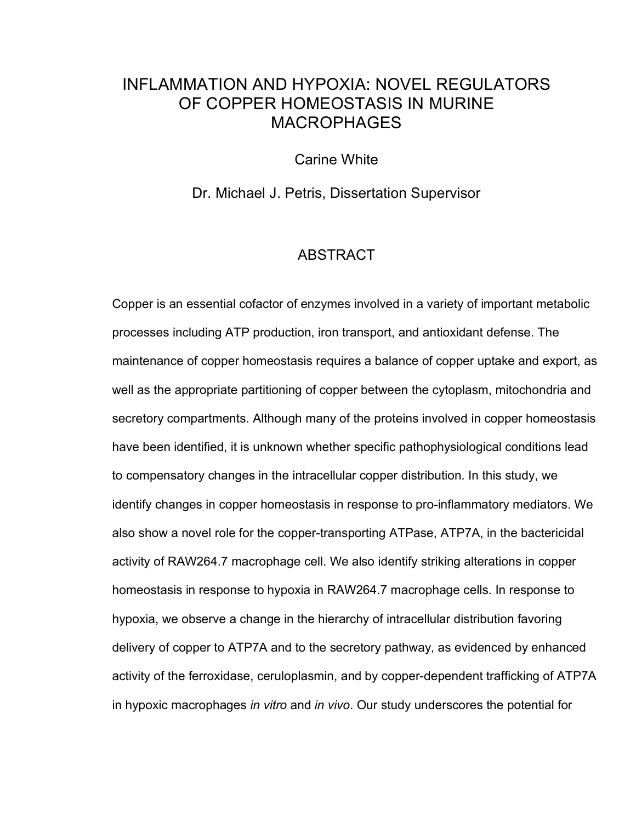## INFLAMMATION AND HYPOXIA: NOVEL REGULATORS OF COPPER HOMEOSTASIS IN MURINE MACROPHAGES

Carine White

Dr. Michael J. Petris, Dissertation Supervisor

## **ABSTRACT**

Copper is an essential cofactor of enzymes involved in a variety of important metabolic processes including ATP production, iron transport, and antioxidant defense. The maintenance of copper homeostasis requires a balance of copper uptake and export, as well as the appropriate partitioning of copper between the cytoplasm, mitochondria and secretory compartments. Although many of the proteins involved in copper homeostasis have been identified, it is unknown whether specific pathophysiological conditions lead to compensatory changes in the intracellular copper distribution. In this study, we identify changes in copper homeostasis in response to pro-inflammatory mediators. We also show a novel role for the copper-transporting ATPase, ATP7A, in the bactericidal activity of RAW264.7 macrophage cell. We also identify striking alterations in copper homeostasis in response to hypoxia in RAW264.7 macrophage cells. In response to hypoxia, we observe a change in the hierarchy of intracellular distribution favoring delivery of copper to ATP7A and to the secretory pathway, as evidenced by enhanced activity of the ferroxidase, ceruloplasmin, and by copper-dependent trafficking of ATP7A in hypoxic macrophages *in vitro* and *in vivo*. Our study underscores the potential for